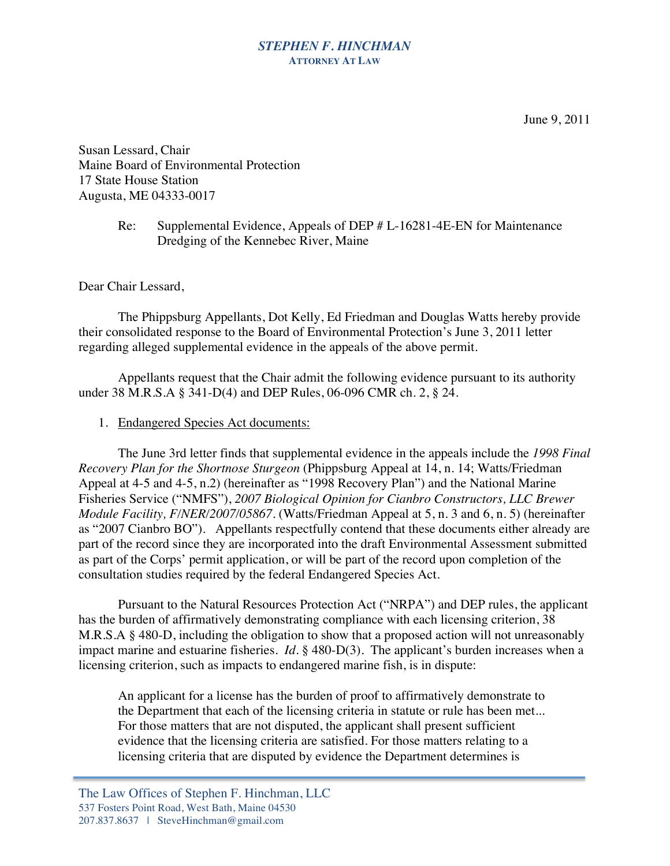## *STEPHEN F. HINCHMAN* **ATTORNEY AT LAW**

Susan Lessard, Chair Maine Board of Environmental Protection 17 State House Station Augusta, ME 04333-0017

## Re: Supplemental Evidence, Appeals of DEP # L-16281-4E-EN for Maintenance Dredging of the Kennebec River, Maine

Dear Chair Lessard,

The Phippsburg Appellants, Dot Kelly, Ed Friedman and Douglas Watts hereby provide their consolidated response to the Board of Environmental Protection's June 3, 2011 letter regarding alleged supplemental evidence in the appeals of the above permit.

Appellants request that the Chair admit the following evidence pursuant to its authority under 38 M.R.S.A § 341-D(4) and DEP Rules, 06-096 CMR ch. 2, § 24.

### 1. Endangered Species Act documents:

The June 3rd letter finds that supplemental evidence in the appeals include the *1998 Final Recovery Plan for the Shortnose Sturgeon* (Phippsburg Appeal at 14, n. 14; Watts/Friedman Appeal at 4-5 and 4-5, n.2) (hereinafter as "1998 Recovery Plan") and the National Marine Fisheries Service ("NMFS"), *2007 Biological Opinion for Cianbro Constructors, LLC Brewer Module Facility, F/NER/2007/05867*. (Watts/Friedman Appeal at 5, n. 3 and 6, n. 5) (hereinafter as "2007 Cianbro BO"). Appellants respectfully contend that these documents either already are part of the record since they are incorporated into the draft Environmental Assessment submitted as part of the Corps' permit application, or will be part of the record upon completion of the consultation studies required by the federal Endangered Species Act.

Pursuant to the Natural Resources Protection Act ("NRPA") and DEP rules, the applicant has the burden of affirmatively demonstrating compliance with each licensing criterion, 38 M.R.S.A § 480-D, including the obligation to show that a proposed action will not unreasonably impact marine and estuarine fisheries. *Id*. § 480-D(3). The applicant's burden increases when a licensing criterion, such as impacts to endangered marine fish, is in dispute:

An applicant for a license has the burden of proof to affirmatively demonstrate to the Department that each of the licensing criteria in statute or rule has been met... For those matters that are not disputed, the applicant shall present sufficient evidence that the licensing criteria are satisfied. For those matters relating to a licensing criteria that are disputed by evidence the Department determines is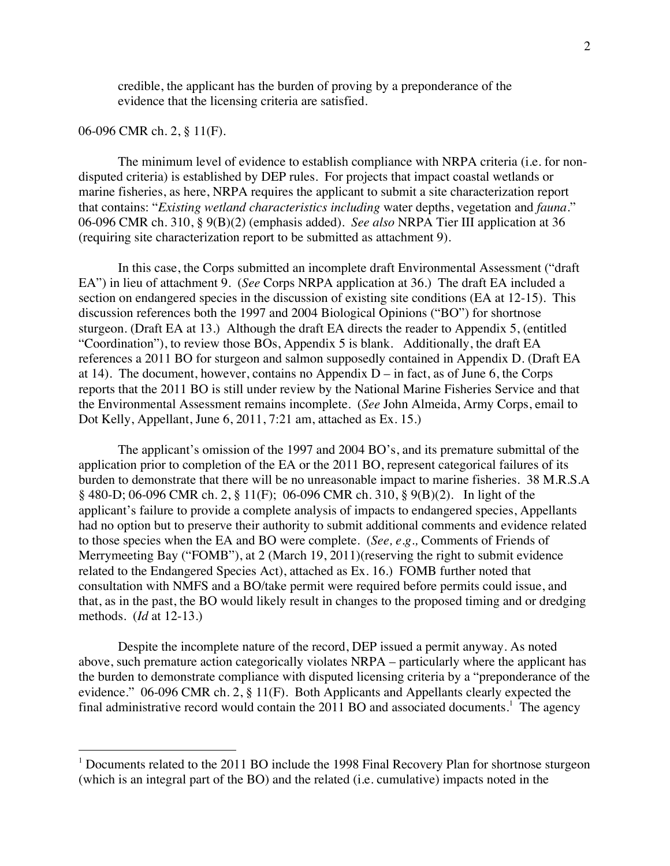credible, the applicant has the burden of proving by a preponderance of the evidence that the licensing criteria are satisfied.

#### 06-096 CMR ch. 2, § 11(F).

The minimum level of evidence to establish compliance with NRPA criteria (i.e. for nondisputed criteria) is established by DEP rules. For projects that impact coastal wetlands or marine fisheries, as here, NRPA requires the applicant to submit a site characterization report that contains: "*Existing wetland characteristics including* water depths, vegetation and *fauna*." 06-096 CMR ch. 310, § 9(B)(2) (emphasis added). *See also* NRPA Tier III application at 36 (requiring site characterization report to be submitted as attachment 9).

In this case, the Corps submitted an incomplete draft Environmental Assessment ("draft EA") in lieu of attachment 9. (*See* Corps NRPA application at 36.) The draft EA included a section on endangered species in the discussion of existing site conditions (EA at 12-15). This discussion references both the 1997 and 2004 Biological Opinions ("BO") for shortnose sturgeon. (Draft EA at 13.) Although the draft EA directs the reader to Appendix 5, (entitled "Coordination"), to review those BOs, Appendix 5 is blank. Additionally, the draft EA references a 2011 BO for sturgeon and salmon supposedly contained in Appendix D. (Draft EA at 14). The document, however, contains no Appendix  $D - in$  fact, as of June 6, the Corps reports that the 2011 BO is still under review by the National Marine Fisheries Service and that the Environmental Assessment remains incomplete. (*See* John Almeida, Army Corps, email to Dot Kelly, Appellant, June 6, 2011, 7:21 am, attached as Ex. 15.)

The applicant's omission of the 1997 and 2004 BO's, and its premature submittal of the application prior to completion of the EA or the 2011 BO, represent categorical failures of its burden to demonstrate that there will be no unreasonable impact to marine fisheries. 38 M.R.S.A § 480-D; 06-096 CMR ch. 2, § 11(F); 06-096 CMR ch. 310, § 9(B)(2). In light of the applicant's failure to provide a complete analysis of impacts to endangered species, Appellants had no option but to preserve their authority to submit additional comments and evidence related to those species when the EA and BO were complete. (*See, e.g.,* Comments of Friends of Merrymeeting Bay ("FOMB"), at 2 (March 19, 2011)(reserving the right to submit evidence related to the Endangered Species Act), attached as Ex. 16.) FOMB further noted that consultation with NMFS and a BO/take permit were required before permits could issue, and that, as in the past, the BO would likely result in changes to the proposed timing and or dredging methods. (*Id* at 12-13.)

Despite the incomplete nature of the record, DEP issued a permit anyway. As noted above, such premature action categorically violates NRPA – particularly where the applicant has the burden to demonstrate compliance with disputed licensing criteria by a "preponderance of the evidence." 06-096 CMR ch. 2, § 11(F). Both Applicants and Appellants clearly expected the final administrative record would contain the  $2011$  BO and associated documents.<sup>1</sup> The agency

 $1$  Documents related to the 2011 BO include the 1998 Final Recovery Plan for shortnose sturgeon (which is an integral part of the BO) and the related (i.e. cumulative) impacts noted in the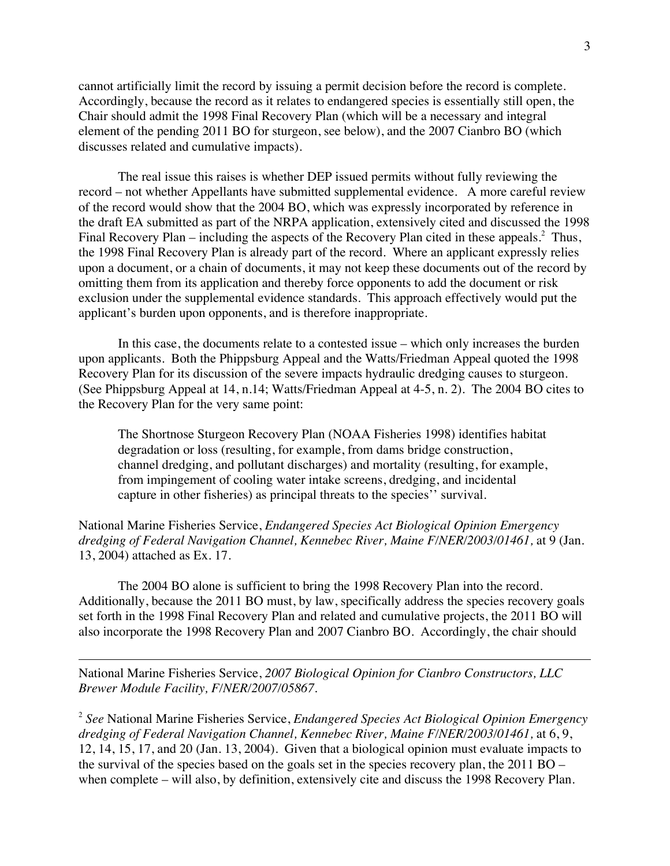cannot artificially limit the record by issuing a permit decision before the record is complete. Accordingly, because the record as it relates to endangered species is essentially still open, the Chair should admit the 1998 Final Recovery Plan (which will be a necessary and integral element of the pending 2011 BO for sturgeon, see below), and the 2007 Cianbro BO (which discusses related and cumulative impacts).

The real issue this raises is whether DEP issued permits without fully reviewing the record – not whether Appellants have submitted supplemental evidence. A more careful review of the record would show that the 2004 BO, which was expressly incorporated by reference in the draft EA submitted as part of the NRPA application, extensively cited and discussed the 1998 Final Recovery Plan – including the aspects of the Recovery Plan cited in these appeals.<sup>2</sup> Thus, the 1998 Final Recovery Plan is already part of the record. Where an applicant expressly relies upon a document, or a chain of documents, it may not keep these documents out of the record by omitting them from its application and thereby force opponents to add the document or risk exclusion under the supplemental evidence standards. This approach effectively would put the applicant's burden upon opponents, and is therefore inappropriate.

In this case, the documents relate to a contested issue – which only increases the burden upon applicants. Both the Phippsburg Appeal and the Watts/Friedman Appeal quoted the 1998 Recovery Plan for its discussion of the severe impacts hydraulic dredging causes to sturgeon. (See Phippsburg Appeal at 14, n.14; Watts/Friedman Appeal at 4-5, n. 2). The 2004 BO cites to the Recovery Plan for the very same point:

The Shortnose Sturgeon Recovery Plan (NOAA Fisheries 1998) identifies habitat degradation or loss (resulting, for example, from dams bridge construction, channel dredging, and pollutant discharges) and mortality (resulting, for example, from impingement of cooling water intake screens, dredging, and incidental capture in other fisheries) as principal threats to the species'' survival.

National Marine Fisheries Service, *Endangered Species Act Biological Opinion Emergency dredging of Federal Navigation Channel, Kennebec River, Maine F/NER/2003/01461,* at 9 (Jan. 13, 2004) attached as Ex. 17.

The 2004 BO alone is sufficient to bring the 1998 Recovery Plan into the record. Additionally, because the 2011 BO must, by law, specifically address the species recovery goals set forth in the 1998 Final Recovery Plan and related and cumulative projects, the 2011 BO will also incorporate the 1998 Recovery Plan and 2007 Cianbro BO. Accordingly, the chair should

National Marine Fisheries Service, *2007 Biological Opinion for Cianbro Constructors, LLC Brewer Module Facility, F/NER/2007/05867*.

-

<sup>2</sup> *See* National Marine Fisheries Service, *Endangered Species Act Biological Opinion Emergency dredging of Federal Navigation Channel, Kennebec River, Maine F/NER/2003/01461,* at 6, 9, 12, 14, 15, 17, and 20 (Jan. 13, 2004). Given that a biological opinion must evaluate impacts to the survival of the species based on the goals set in the species recovery plan, the 2011 BO – when complete – will also, by definition, extensively cite and discuss the 1998 Recovery Plan.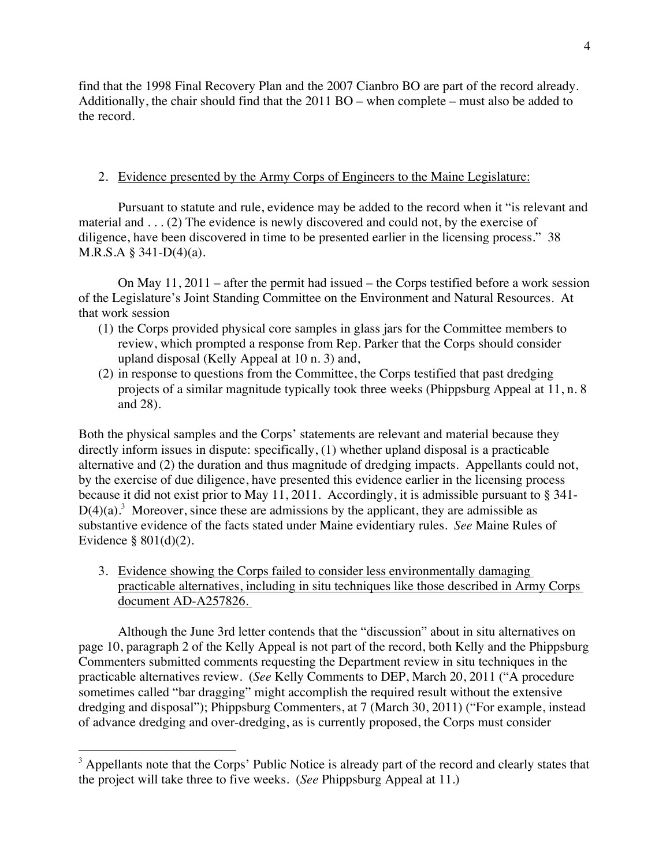find that the 1998 Final Recovery Plan and the 2007 Cianbro BO are part of the record already. Additionally, the chair should find that the 2011 BO – when complete – must also be added to the record.

## 2. Evidence presented by the Army Corps of Engineers to the Maine Legislature:

Pursuant to statute and rule, evidence may be added to the record when it "is relevant and material and . . . (2) The evidence is newly discovered and could not, by the exercise of diligence, have been discovered in time to be presented earlier in the licensing process." 38 M.R.S.A § 341-D(4)(a).

On May 11, 2011 – after the permit had issued – the Corps testified before a work session of the Legislature's Joint Standing Committee on the Environment and Natural Resources. At that work session

- (1) the Corps provided physical core samples in glass jars for the Committee members to review, which prompted a response from Rep. Parker that the Corps should consider upland disposal (Kelly Appeal at 10 n. 3) and,
- (2) in response to questions from the Committee, the Corps testified that past dredging projects of a similar magnitude typically took three weeks (Phippsburg Appeal at 11, n. 8 and 28).

Both the physical samples and the Corps' statements are relevant and material because they directly inform issues in dispute: specifically, (1) whether upland disposal is a practicable alternative and (2) the duration and thus magnitude of dredging impacts. Appellants could not, by the exercise of due diligence, have presented this evidence earlier in the licensing process because it did not exist prior to May 11, 2011. Accordingly, it is admissible pursuant to § 341-  $D(4)(a)$ <sup>3</sup>. Moreover, since these are admissions by the applicant, they are admissible as substantive evidence of the facts stated under Maine evidentiary rules. *See* Maine Rules of Evidence § 801(d)(2).

3. Evidence showing the Corps failed to consider less environmentally damaging practicable alternatives, including in situ techniques like those described in Army Corps document AD-A257826.

Although the June 3rd letter contends that the "discussion" about in situ alternatives on page 10, paragraph 2 of the Kelly Appeal is not part of the record, both Kelly and the Phippsburg Commenters submitted comments requesting the Department review in situ techniques in the practicable alternatives review. (*See* Kelly Comments to DEP, March 20, 2011 ("A procedure sometimes called "bar dragging" might accomplish the required result without the extensive dredging and disposal"); Phippsburg Commenters, at 7 (March 30, 2011) ("For example, instead of advance dredging and over-dredging, as is currently proposed, the Corps must consider

<sup>&</sup>lt;sup>3</sup> Appellants note that the Corps' Public Notice is already part of the record and clearly states that the project will take three to five weeks. (*See* Phippsburg Appeal at 11.)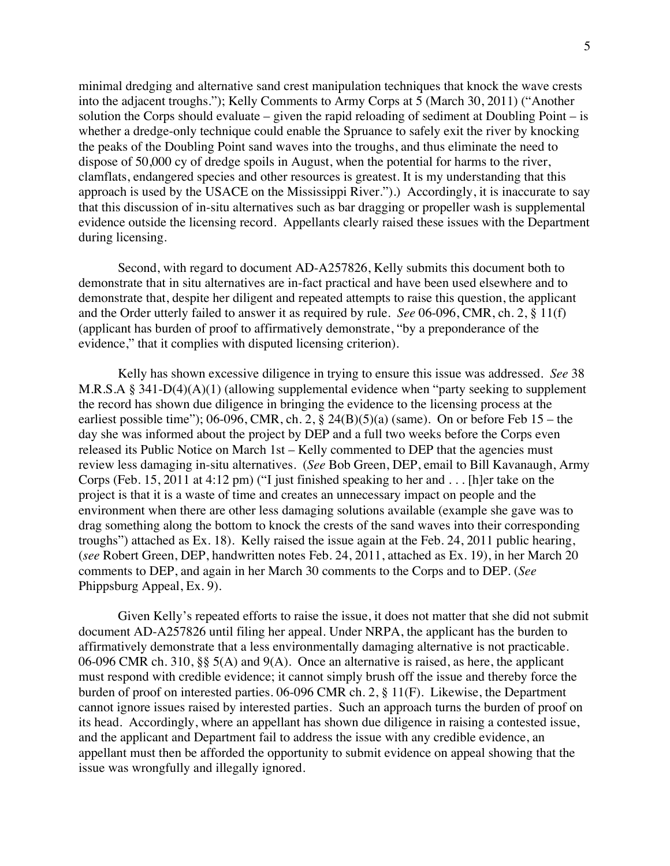minimal dredging and alternative sand crest manipulation techniques that knock the wave crests into the adjacent troughs."); Kelly Comments to Army Corps at 5 (March 30, 2011) ("Another solution the Corps should evaluate – given the rapid reloading of sediment at Doubling Point – is whether a dredge-only technique could enable the Spruance to safely exit the river by knocking the peaks of the Doubling Point sand waves into the troughs, and thus eliminate the need to dispose of 50,000 cy of dredge spoils in August, when the potential for harms to the river, clamflats, endangered species and other resources is greatest. It is my understanding that this approach is used by the USACE on the Mississippi River.").) Accordingly, it is inaccurate to say that this discussion of in-situ alternatives such as bar dragging or propeller wash is supplemental evidence outside the licensing record. Appellants clearly raised these issues with the Department during licensing.

Second, with regard to document AD-A257826, Kelly submits this document both to demonstrate that in situ alternatives are in-fact practical and have been used elsewhere and to demonstrate that, despite her diligent and repeated attempts to raise this question, the applicant and the Order utterly failed to answer it as required by rule. *See* 06-096, CMR, ch. 2, § 11(f) (applicant has burden of proof to affirmatively demonstrate, "by a preponderance of the evidence," that it complies with disputed licensing criterion).

Kelly has shown excessive diligence in trying to ensure this issue was addressed. *See* 38 M.R.S.A § 341-D(4)(A)(1) (allowing supplemental evidence when "party seeking to supplement the record has shown due diligence in bringing the evidence to the licensing process at the earliest possible time"); 06-096, CMR, ch. 2,  $\S$  24(B)(5)(a) (same). On or before Feb 15 – the day she was informed about the project by DEP and a full two weeks before the Corps even released its Public Notice on March 1st – Kelly commented to DEP that the agencies must review less damaging in-situ alternatives. (*See* Bob Green, DEP, email to Bill Kavanaugh, Army Corps (Feb. 15, 2011 at 4:12 pm) ("I just finished speaking to her and . . . [h]er take on the project is that it is a waste of time and creates an unnecessary impact on people and the environment when there are other less damaging solutions available (example she gave was to drag something along the bottom to knock the crests of the sand waves into their corresponding troughs") attached as Ex. 18). Kelly raised the issue again at the Feb. 24, 2011 public hearing, (*see* Robert Green, DEP, handwritten notes Feb. 24, 2011, attached as Ex. 19), in her March 20 comments to DEP, and again in her March 30 comments to the Corps and to DEP. (*See* Phippsburg Appeal, Ex. 9).

Given Kelly's repeated efforts to raise the issue, it does not matter that she did not submit document AD-A257826 until filing her appeal. Under NRPA, the applicant has the burden to affirmatively demonstrate that a less environmentally damaging alternative is not practicable. 06-096 CMR ch. 310, §§ 5(A) and 9(A). Once an alternative is raised, as here, the applicant must respond with credible evidence; it cannot simply brush off the issue and thereby force the burden of proof on interested parties. 06-096 CMR ch. 2, § 11(F). Likewise, the Department cannot ignore issues raised by interested parties. Such an approach turns the burden of proof on its head. Accordingly, where an appellant has shown due diligence in raising a contested issue, and the applicant and Department fail to address the issue with any credible evidence, an appellant must then be afforded the opportunity to submit evidence on appeal showing that the issue was wrongfully and illegally ignored.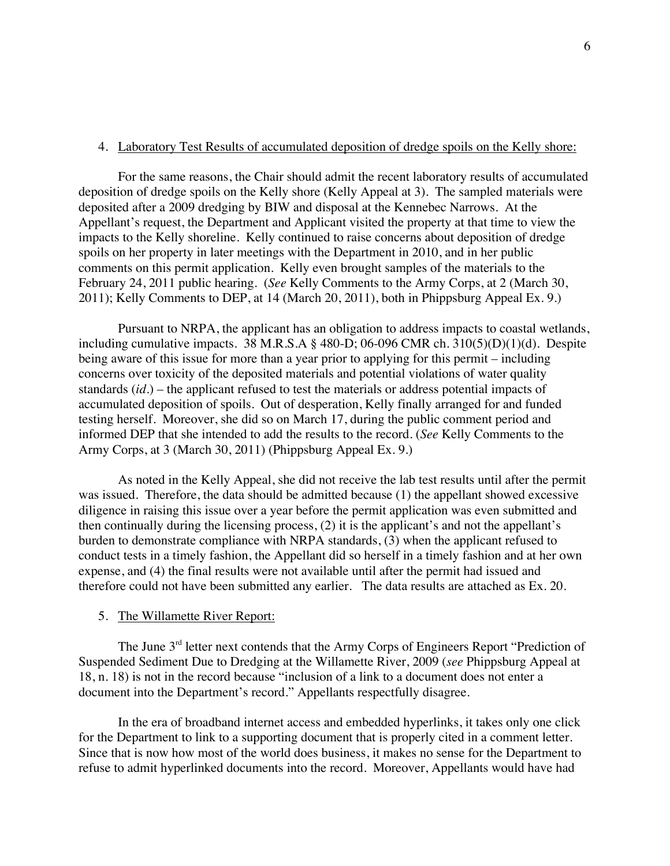#### 4. Laboratory Test Results of accumulated deposition of dredge spoils on the Kelly shore:

For the same reasons, the Chair should admit the recent laboratory results of accumulated deposition of dredge spoils on the Kelly shore (Kelly Appeal at 3). The sampled materials were deposited after a 2009 dredging by BIW and disposal at the Kennebec Narrows. At the Appellant's request, the Department and Applicant visited the property at that time to view the impacts to the Kelly shoreline. Kelly continued to raise concerns about deposition of dredge spoils on her property in later meetings with the Department in 2010, and in her public comments on this permit application. Kelly even brought samples of the materials to the February 24, 2011 public hearing. (*See* Kelly Comments to the Army Corps, at 2 (March 30, 2011); Kelly Comments to DEP, at 14 (March 20, 2011), both in Phippsburg Appeal Ex. 9.)

Pursuant to NRPA, the applicant has an obligation to address impacts to coastal wetlands, including cumulative impacts. 38 M.R.S.A  $\S$  480-D; 06-096 CMR ch. 310(5)(D)(1)(d). Despite being aware of this issue for more than a year prior to applying for this permit – including concerns over toxicity of the deposited materials and potential violations of water quality standards (*id*.) – the applicant refused to test the materials or address potential impacts of accumulated deposition of spoils. Out of desperation, Kelly finally arranged for and funded testing herself. Moreover, she did so on March 17, during the public comment period and informed DEP that she intended to add the results to the record. (*See* Kelly Comments to the Army Corps, at 3 (March 30, 2011) (Phippsburg Appeal Ex. 9.)

As noted in the Kelly Appeal, she did not receive the lab test results until after the permit was issued. Therefore, the data should be admitted because (1) the appellant showed excessive diligence in raising this issue over a year before the permit application was even submitted and then continually during the licensing process, (2) it is the applicant's and not the appellant's burden to demonstrate compliance with NRPA standards, (3) when the applicant refused to conduct tests in a timely fashion, the Appellant did so herself in a timely fashion and at her own expense, and (4) the final results were not available until after the permit had issued and therefore could not have been submitted any earlier. The data results are attached as Ex. 20.

#### 5. The Willamette River Report:

The June 3<sup>rd</sup> letter next contends that the Army Corps of Engineers Report "Prediction of Suspended Sediment Due to Dredging at the Willamette River, 2009 (*see* Phippsburg Appeal at 18, n. 18) is not in the record because "inclusion of a link to a document does not enter a document into the Department's record." Appellants respectfully disagree.

In the era of broadband internet access and embedded hyperlinks, it takes only one click for the Department to link to a supporting document that is properly cited in a comment letter. Since that is now how most of the world does business, it makes no sense for the Department to refuse to admit hyperlinked documents into the record. Moreover, Appellants would have had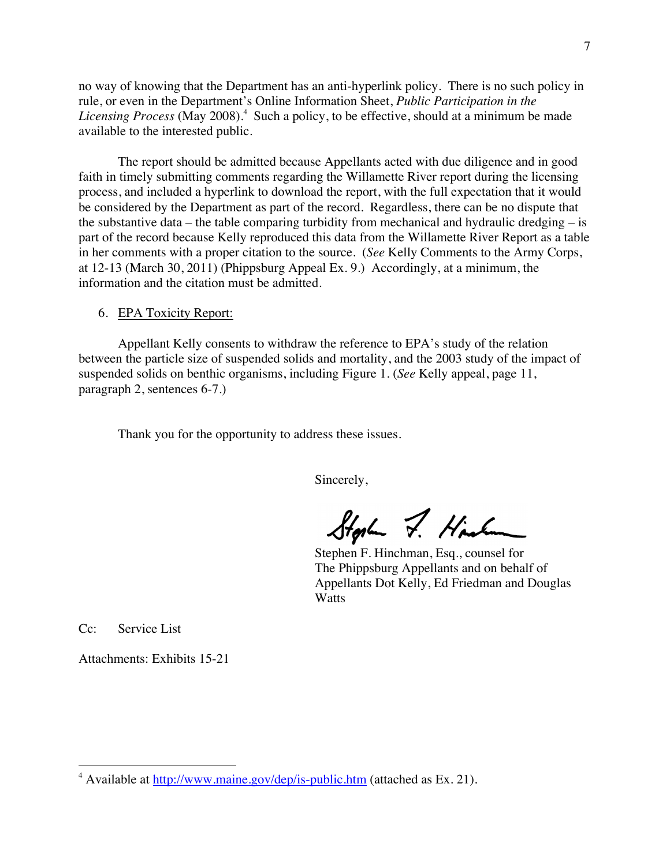no way of knowing that the Department has an anti-hyperlink policy. There is no such policy in rule, or even in the Department's Online Information Sheet, *Public Participation in the*  Licensing Process (May 2008).<sup>4</sup> Such a policy, to be effective, should at a minimum be made available to the interested public.

The report should be admitted because Appellants acted with due diligence and in good faith in timely submitting comments regarding the Willamette River report during the licensing process, and included a hyperlink to download the report, with the full expectation that it would be considered by the Department as part of the record. Regardless, there can be no dispute that the substantive data – the table comparing turbidity from mechanical and hydraulic dredging – is part of the record because Kelly reproduced this data from the Willamette River Report as a table in her comments with a proper citation to the source. (*See* Kelly Comments to the Army Corps, at 12-13 (March 30, 2011) (Phippsburg Appeal Ex. 9.) Accordingly, at a minimum, the information and the citation must be admitted.

#### 6. EPA Toxicity Report:

Appellant Kelly consents to withdraw the reference to EPA's study of the relation between the particle size of suspended solids and mortality, and the 2003 study of the impact of suspended solids on benthic organisms, including Figure 1. (*See* Kelly appeal, page 11, paragraph 2, sentences 6-7.)

Thank you for the opportunity to address these issues.

Sincerely,

Storley J. Hinkow

Stephen F. Hinchman, Esq., counsel for The Phippsburg Appellants and on behalf of Appellants Dot Kelly, Ed Friedman and Douglas **Watts** 

Cc: Service List

Attachments: Exhibits 15-21

 <sup>4</sup> Available at http://www.maine.gov/dep/is-public.htm (attached as Ex. 21).